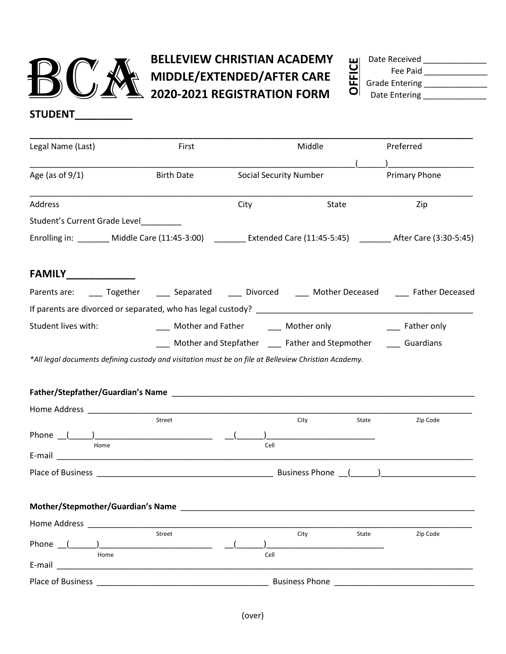

## BELLEVIEW CHRISTIAN ACADEMY<br>MIDDLE/EXTENDED/AFTER CARE<br>2020-2021 REGISTRATION FORM **MIDDLE/EXTENDED/AFTER CARE 2020-2021 REGISTRATION FORM**<br>2020-2021 REGISTRATION FORM

| Date Received         |  |
|-----------------------|--|
| Fee Paid              |  |
| <b>Grade Entering</b> |  |
| Date Entering         |  |

## **STUDENT\_\_\_\_\_\_\_\_\_\_**

| Legal Name (Last)                                                                                                                                                                                                              | First                                                |      | Middle                                        |       | Preferred      |
|--------------------------------------------------------------------------------------------------------------------------------------------------------------------------------------------------------------------------------|------------------------------------------------------|------|-----------------------------------------------|-------|----------------|
| Age (as of $9/1$ )                                                                                                                                                                                                             | <b>Birth Date</b>                                    |      | <b>Social Security Number</b>                 |       | Primary Phone  |
| Address                                                                                                                                                                                                                        |                                                      | City | <b>State</b>                                  |       | Zip            |
| Student's Current Grade Level                                                                                                                                                                                                  |                                                      |      |                                               |       |                |
| Enrolling in: ________ Middle Care (11:45-3:00) _________ Extended Care (11:45-5:45) ________ After Care (3:30-5:45)                                                                                                           |                                                      |      |                                               |       |                |
| <b>FAMILY______________</b>                                                                                                                                                                                                    |                                                      |      |                                               |       |                |
| Parents are: ______ Together _______ Separated ______ Divorced ______ Mother Deceased ______ Father Deceased                                                                                                                   |                                                      |      |                                               |       |                |
|                                                                                                                                                                                                                                |                                                      |      |                                               |       |                |
| Student lives with:                                                                                                                                                                                                            | ____ Mother and Father ______ Mother only            |      |                                               |       | Father only    |
|                                                                                                                                                                                                                                | ___ Mother and Stepfather ____ Father and Stepmother |      |                                               |       | ____ Guardians |
| *All legal documents defining custody and visitation must be on file at Belleview Christian Academy.                                                                                                                           |                                                      |      |                                               |       |                |
|                                                                                                                                                                                                                                |                                                      |      |                                               |       |                |
|                                                                                                                                                                                                                                |                                                      |      |                                               |       |                |
|                                                                                                                                                                                                                                |                                                      |      |                                               |       |                |
|                                                                                                                                                                                                                                | Street                                               |      | City                                          | State | Zip Code       |
| Home                                                                                                                                                                                                                           |                                                      | Cell |                                               |       |                |
|                                                                                                                                                                                                                                |                                                      |      |                                               |       |                |
|                                                                                                                                                                                                                                |                                                      |      |                                               |       |                |
|                                                                                                                                                                                                                                |                                                      |      |                                               |       |                |
| Mother/Stepmother/Guardian's Name                                                                                                                                                                                              |                                                      |      |                                               |       |                |
| Home Address <b>Management</b>                                                                                                                                                                                                 |                                                      |      |                                               |       |                |
|                                                                                                                                                                                                                                | Street                                               |      | City                                          | State | Zip Code       |
| Phone $($<br>Home                                                                                                                                                                                                              | <u> 1980 - Jan Barnett, fransk konge</u>             | Cell |                                               |       |                |
| E-mail <b>E-mail E-mail</b>                                                                                                                                                                                                    |                                                      |      |                                               |       |                |
| Place of Business and the control of the control of the control of the control of the control of the control of the control of the control of the control of the control of the control of the control of the control of the c |                                                      |      | Business Phone <b>Contract Property Phone</b> |       |                |